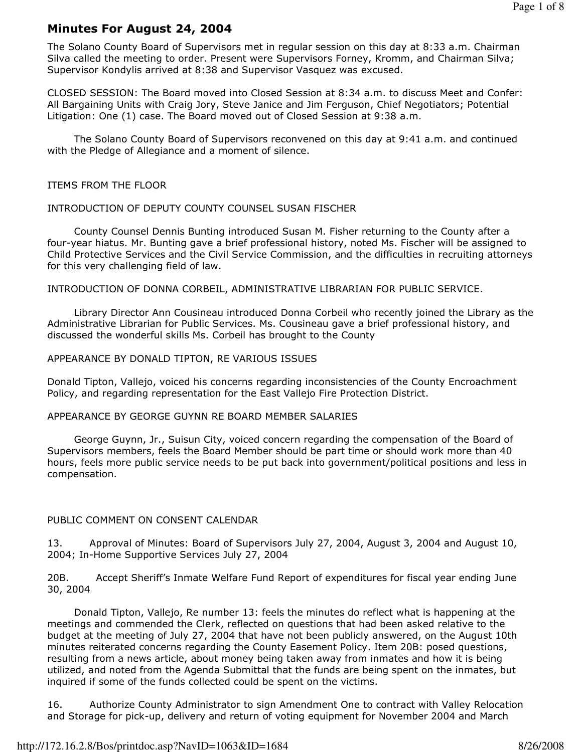# Minutes For August 24, 2004

The Solano County Board of Supervisors met in regular session on this day at 8:33 a.m. Chairman Silva called the meeting to order. Present were Supervisors Forney, Kromm, and Chairman Silva; Supervisor Kondylis arrived at 8:38 and Supervisor Vasquez was excused.

CLOSED SESSION: The Board moved into Closed Session at 8:34 a.m. to discuss Meet and Confer: All Bargaining Units with Craig Jory, Steve Janice and Jim Ferguson, Chief Negotiators; Potential Litigation: One (1) case. The Board moved out of Closed Session at 9:38 a.m.

 The Solano County Board of Supervisors reconvened on this day at 9:41 a.m. and continued with the Pledge of Allegiance and a moment of silence.

#### ITEMS FROM THE FLOOR

### INTRODUCTION OF DEPUTY COUNTY COUNSEL SUSAN FISCHER

 County Counsel Dennis Bunting introduced Susan M. Fisher returning to the County after a four-year hiatus. Mr. Bunting gave a brief professional history, noted Ms. Fischer will be assigned to Child Protective Services and the Civil Service Commission, and the difficulties in recruiting attorneys for this very challenging field of law.

INTRODUCTION OF DONNA CORBEIL, ADMINISTRATIVE LIBRARIAN FOR PUBLIC SERVICE.

 Library Director Ann Cousineau introduced Donna Corbeil who recently joined the Library as the Administrative Librarian for Public Services. Ms. Cousineau gave a brief professional history, and discussed the wonderful skills Ms. Corbeil has brought to the County

#### APPEARANCE BY DONALD TIPTON, RE VARIOUS ISSUES

Donald Tipton, Vallejo, voiced his concerns regarding inconsistencies of the County Encroachment Policy, and regarding representation for the East Vallejo Fire Protection District.

#### APPEARANCE BY GEORGE GUYNN RE BOARD MEMBER SALARIES

 George Guynn, Jr., Suisun City, voiced concern regarding the compensation of the Board of Supervisors members, feels the Board Member should be part time or should work more than 40 hours, feels more public service needs to be put back into government/political positions and less in compensation.

## PUBLIC COMMENT ON CONSENT CALENDAR

13. Approval of Minutes: Board of Supervisors July 27, 2004, August 3, 2004 and August 10, 2004; In-Home Supportive Services July 27, 2004

20B. Accept Sheriff's Inmate Welfare Fund Report of expenditures for fiscal year ending June 30, 2004

 Donald Tipton, Vallejo, Re number 13: feels the minutes do reflect what is happening at the meetings and commended the Clerk, reflected on questions that had been asked relative to the budget at the meeting of July 27, 2004 that have not been publicly answered, on the August 10th minutes reiterated concerns regarding the County Easement Policy. Item 20B: posed questions, resulting from a news article, about money being taken away from inmates and how it is being utilized, and noted from the Agenda Submittal that the funds are being spent on the inmates, but inquired if some of the funds collected could be spent on the victims.

16. Authorize County Administrator to sign Amendment One to contract with Valley Relocation and Storage for pick-up, delivery and return of voting equipment for November 2004 and March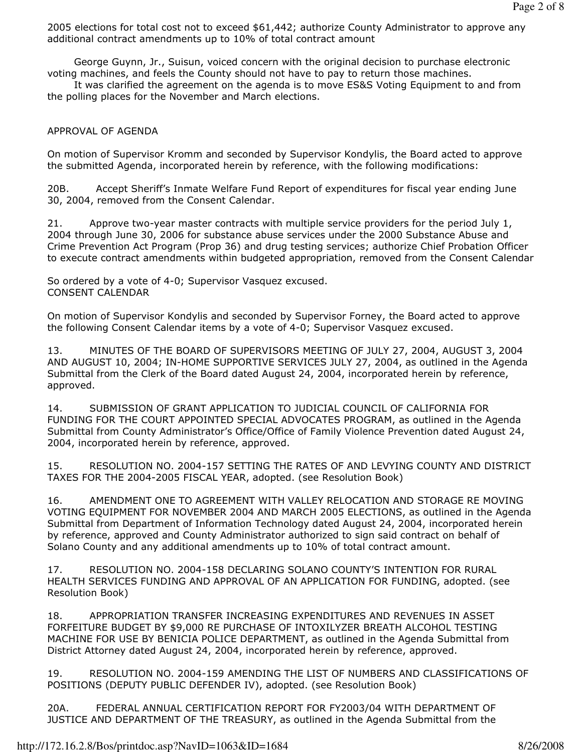2005 elections for total cost not to exceed \$61,442; authorize County Administrator to approve any additional contract amendments up to 10% of total contract amount

 George Guynn, Jr., Suisun, voiced concern with the original decision to purchase electronic voting machines, and feels the County should not have to pay to return those machines.

 It was clarified the agreement on the agenda is to move ES&S Voting Equipment to and from the polling places for the November and March elections.

# APPROVAL OF AGENDA

On motion of Supervisor Kromm and seconded by Supervisor Kondylis, the Board acted to approve the submitted Agenda, incorporated herein by reference, with the following modifications:

20B. Accept Sheriff's Inmate Welfare Fund Report of expenditures for fiscal year ending June 30, 2004, removed from the Consent Calendar.

21. Approve two-year master contracts with multiple service providers for the period July 1, 2004 through June 30, 2006 for substance abuse services under the 2000 Substance Abuse and Crime Prevention Act Program (Prop 36) and drug testing services; authorize Chief Probation Officer to execute contract amendments within budgeted appropriation, removed from the Consent Calendar

So ordered by a vote of 4-0; Supervisor Vasquez excused. CONSENT CALENDAR

On motion of Supervisor Kondylis and seconded by Supervisor Forney, the Board acted to approve the following Consent Calendar items by a vote of 4-0; Supervisor Vasquez excused.

13. MINUTES OF THE BOARD OF SUPERVISORS MEETING OF JULY 27, 2004, AUGUST 3, 2004 AND AUGUST 10, 2004; IN-HOME SUPPORTIVE SERVICES JULY 27, 2004, as outlined in the Agenda Submittal from the Clerk of the Board dated August 24, 2004, incorporated herein by reference, approved.

14. SUBMISSION OF GRANT APPLICATION TO JUDICIAL COUNCIL OF CALIFORNIA FOR FUNDING FOR THE COURT APPOINTED SPECIAL ADVOCATES PROGRAM, as outlined in the Agenda Submittal from County Administrator's Office/Office of Family Violence Prevention dated August 24, 2004, incorporated herein by reference, approved.

15. RESOLUTION NO. 2004-157 SETTING THE RATES OF AND LEVYING COUNTY AND DISTRICT TAXES FOR THE 2004-2005 FISCAL YEAR, adopted. (see Resolution Book)

16. AMENDMENT ONE TO AGREEMENT WITH VALLEY RELOCATION AND STORAGE RE MOVING VOTING EQUIPMENT FOR NOVEMBER 2004 AND MARCH 2005 ELECTIONS, as outlined in the Agenda Submittal from Department of Information Technology dated August 24, 2004, incorporated herein by reference, approved and County Administrator authorized to sign said contract on behalf of Solano County and any additional amendments up to 10% of total contract amount.

17. RESOLUTION NO. 2004-158 DECLARING SOLANO COUNTY'S INTENTION FOR RURAL HEALTH SERVICES FUNDING AND APPROVAL OF AN APPLICATION FOR FUNDING, adopted. (see Resolution Book)

18. APPROPRIATION TRANSFER INCREASING EXPENDITURES AND REVENUES IN ASSET FORFEITURE BUDGET BY \$9,000 RE PURCHASE OF INTOXILYZER BREATH ALCOHOL TESTING MACHINE FOR USE BY BENICIA POLICE DEPARTMENT, as outlined in the Agenda Submittal from District Attorney dated August 24, 2004, incorporated herein by reference, approved.

19. RESOLUTION NO. 2004-159 AMENDING THE LIST OF NUMBERS AND CLASSIFICATIONS OF POSITIONS (DEPUTY PUBLIC DEFENDER IV), adopted. (see Resolution Book)

20A. FEDERAL ANNUAL CERTIFICATION REPORT FOR FY2003/04 WITH DEPARTMENT OF JUSTICE AND DEPARTMENT OF THE TREASURY, as outlined in the Agenda Submittal from the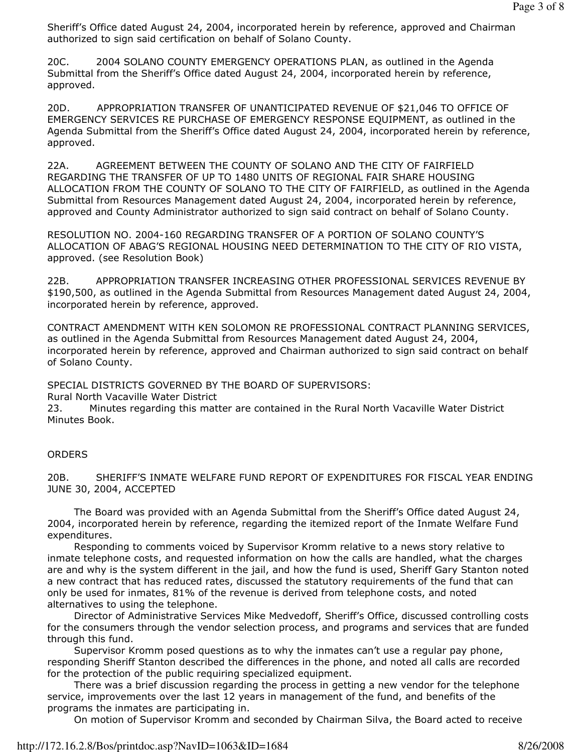Sheriff's Office dated August 24, 2004, incorporated herein by reference, approved and Chairman authorized to sign said certification on behalf of Solano County.

20C. 2004 SOLANO COUNTY EMERGENCY OPERATIONS PLAN, as outlined in the Agenda Submittal from the Sheriff's Office dated August 24, 2004, incorporated herein by reference, approved.

20D. APPROPRIATION TRANSFER OF UNANTICIPATED REVENUE OF \$21,046 TO OFFICE OF EMERGENCY SERVICES RE PURCHASE OF EMERGENCY RESPONSE EQUIPMENT, as outlined in the Agenda Submittal from the Sheriff's Office dated August 24, 2004, incorporated herein by reference, approved.

22A. AGREEMENT BETWEEN THE COUNTY OF SOLANO AND THE CITY OF FAIRFIELD REGARDING THE TRANSFER OF UP TO 1480 UNITS OF REGIONAL FAIR SHARE HOUSING ALLOCATION FROM THE COUNTY OF SOLANO TO THE CITY OF FAIRFIELD, as outlined in the Agenda Submittal from Resources Management dated August 24, 2004, incorporated herein by reference, approved and County Administrator authorized to sign said contract on behalf of Solano County.

RESOLUTION NO. 2004-160 REGARDING TRANSFER OF A PORTION OF SOLANO COUNTY'S ALLOCATION OF ABAG'S REGIONAL HOUSING NEED DETERMINATION TO THE CITY OF RIO VISTA, approved. (see Resolution Book)

22B. APPROPRIATION TRANSFER INCREASING OTHER PROFESSIONAL SERVICES REVENUE BY \$190,500, as outlined in the Agenda Submittal from Resources Management dated August 24, 2004, incorporated herein by reference, approved.

CONTRACT AMENDMENT WITH KEN SOLOMON RE PROFESSIONAL CONTRACT PLANNING SERVICES, as outlined in the Agenda Submittal from Resources Management dated August 24, 2004, incorporated herein by reference, approved and Chairman authorized to sign said contract on behalf of Solano County.

SPECIAL DISTRICTS GOVERNED BY THE BOARD OF SUPERVISORS:

Rural North Vacaville Water District

23. Minutes regarding this matter are contained in the Rural North Vacaville Water District Minutes Book.

## **ORDERS**

20B. SHERIFF'S INMATE WELFARE FUND REPORT OF EXPENDITURES FOR FISCAL YEAR ENDING JUNE 30, 2004, ACCEPTED

 The Board was provided with an Agenda Submittal from the Sheriff's Office dated August 24, 2004, incorporated herein by reference, regarding the itemized report of the Inmate Welfare Fund expenditures.

 Responding to comments voiced by Supervisor Kromm relative to a news story relative to inmate telephone costs, and requested information on how the calls are handled, what the charges are and why is the system different in the jail, and how the fund is used, Sheriff Gary Stanton noted a new contract that has reduced rates, discussed the statutory requirements of the fund that can only be used for inmates, 81% of the revenue is derived from telephone costs, and noted alternatives to using the telephone.

 Director of Administrative Services Mike Medvedoff, Sheriff's Office, discussed controlling costs for the consumers through the vendor selection process, and programs and services that are funded through this fund.

 Supervisor Kromm posed questions as to why the inmates can't use a regular pay phone, responding Sheriff Stanton described the differences in the phone, and noted all calls are recorded for the protection of the public requiring specialized equipment.

 There was a brief discussion regarding the process in getting a new vendor for the telephone service, improvements over the last 12 years in management of the fund, and benefits of the programs the inmates are participating in.

On motion of Supervisor Kromm and seconded by Chairman Silva, the Board acted to receive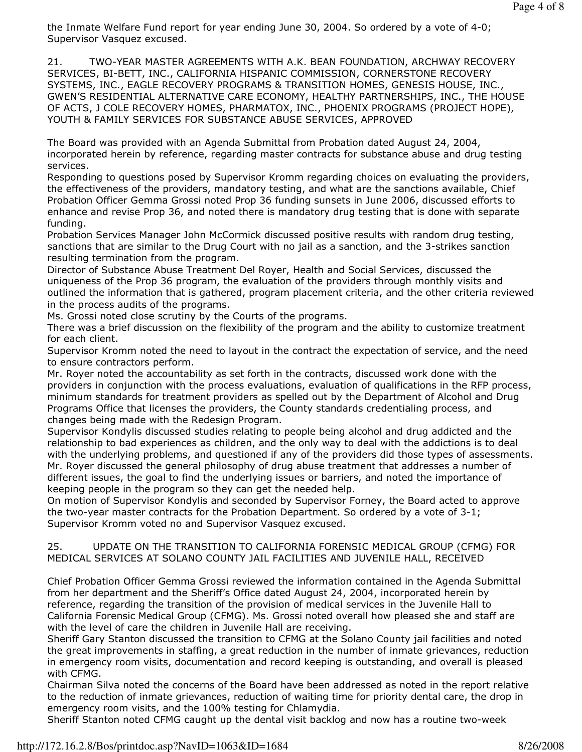the Inmate Welfare Fund report for year ending June 30, 2004. So ordered by a vote of 4-0; Supervisor Vasquez excused.

21. TWO-YEAR MASTER AGREEMENTS WITH A.K. BEAN FOUNDATION, ARCHWAY RECOVERY SERVICES, BI-BETT, INC., CALIFORNIA HISPANIC COMMISSION, CORNERSTONE RECOVERY SYSTEMS, INC., EAGLE RECOVERY PROGRAMS & TRANSITION HOMES, GENESIS HOUSE, INC., GWEN'S RESIDENTIAL ALTERNATIVE CARE ECONOMY, HEALTHY PARTNERSHIPS, INC., THE HOUSE OF ACTS, J COLE RECOVERY HOMES, PHARMATOX, INC., PHOENIX PROGRAMS (PROJECT HOPE), YOUTH & FAMILY SERVICES FOR SUBSTANCE ABUSE SERVICES, APPROVED

The Board was provided with an Agenda Submittal from Probation dated August 24, 2004, incorporated herein by reference, regarding master contracts for substance abuse and drug testing services.

Responding to questions posed by Supervisor Kromm regarding choices on evaluating the providers, the effectiveness of the providers, mandatory testing, and what are the sanctions available, Chief Probation Officer Gemma Grossi noted Prop 36 funding sunsets in June 2006, discussed efforts to enhance and revise Prop 36, and noted there is mandatory drug testing that is done with separate funding.

Probation Services Manager John McCormick discussed positive results with random drug testing, sanctions that are similar to the Drug Court with no jail as a sanction, and the 3-strikes sanction resulting termination from the program.

Director of Substance Abuse Treatment Del Royer, Health and Social Services, discussed the uniqueness of the Prop 36 program, the evaluation of the providers through monthly visits and outlined the information that is gathered, program placement criteria, and the other criteria reviewed in the process audits of the programs.

Ms. Grossi noted close scrutiny by the Courts of the programs.

There was a brief discussion on the flexibility of the program and the ability to customize treatment for each client.

Supervisor Kromm noted the need to layout in the contract the expectation of service, and the need to ensure contractors perform.

Mr. Royer noted the accountability as set forth in the contracts, discussed work done with the providers in conjunction with the process evaluations, evaluation of qualifications in the RFP process, minimum standards for treatment providers as spelled out by the Department of Alcohol and Drug Programs Office that licenses the providers, the County standards credentialing process, and changes being made with the Redesign Program.

Supervisor Kondylis discussed studies relating to people being alcohol and drug addicted and the relationship to bad experiences as children, and the only way to deal with the addictions is to deal with the underlying problems, and questioned if any of the providers did those types of assessments. Mr. Royer discussed the general philosophy of drug abuse treatment that addresses a number of different issues, the goal to find the underlying issues or barriers, and noted the importance of keeping people in the program so they can get the needed help.

On motion of Supervisor Kondylis and seconded by Supervisor Forney, the Board acted to approve the two-year master contracts for the Probation Department. So ordered by a vote of 3-1; Supervisor Kromm voted no and Supervisor Vasquez excused.

# 25. UPDATE ON THE TRANSITION TO CALIFORNIA FORENSIC MEDICAL GROUP (CFMG) FOR MEDICAL SERVICES AT SOLANO COUNTY JAIL FACILITIES AND JUVENILE HALL, RECEIVED

Chief Probation Officer Gemma Grossi reviewed the information contained in the Agenda Submittal from her department and the Sheriff's Office dated August 24, 2004, incorporated herein by reference, regarding the transition of the provision of medical services in the Juvenile Hall to California Forensic Medical Group (CFMG). Ms. Grossi noted overall how pleased she and staff are with the level of care the children in Juvenile Hall are receiving.

Sheriff Gary Stanton discussed the transition to CFMG at the Solano County jail facilities and noted the great improvements in staffing, a great reduction in the number of inmate grievances, reduction in emergency room visits, documentation and record keeping is outstanding, and overall is pleased with CFMG.

Chairman Silva noted the concerns of the Board have been addressed as noted in the report relative to the reduction of inmate grievances, reduction of waiting time for priority dental care, the drop in emergency room visits, and the 100% testing for Chlamydia.

Sheriff Stanton noted CFMG caught up the dental visit backlog and now has a routine two-week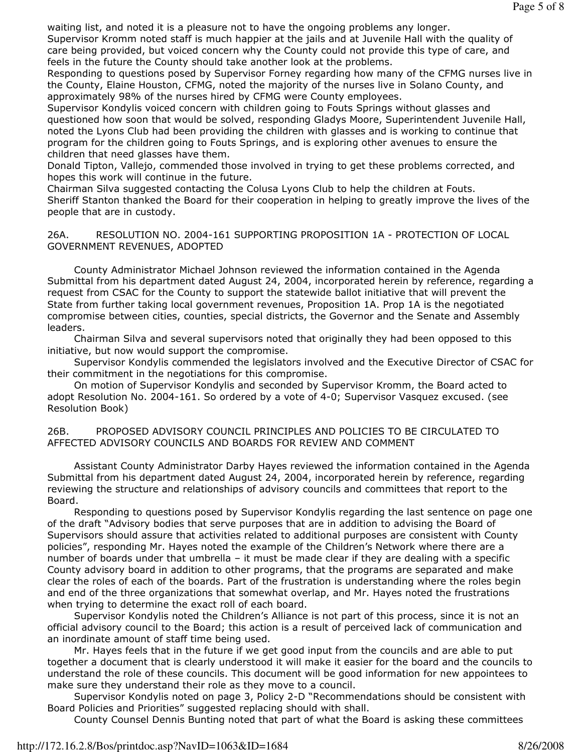waiting list, and noted it is a pleasure not to have the ongoing problems any longer.

Supervisor Kromm noted staff is much happier at the jails and at Juvenile Hall with the quality of care being provided, but voiced concern why the County could not provide this type of care, and feels in the future the County should take another look at the problems.

Responding to questions posed by Supervisor Forney regarding how many of the CFMG nurses live in the County, Elaine Houston, CFMG, noted the majority of the nurses live in Solano County, and approximately 98% of the nurses hired by CFMG were County employees.

Supervisor Kondylis voiced concern with children going to Fouts Springs without glasses and questioned how soon that would be solved, responding Gladys Moore, Superintendent Juvenile Hall, noted the Lyons Club had been providing the children with glasses and is working to continue that program for the children going to Fouts Springs, and is exploring other avenues to ensure the children that need glasses have them.

Donald Tipton, Vallejo, commended those involved in trying to get these problems corrected, and hopes this work will continue in the future.

Chairman Silva suggested contacting the Colusa Lyons Club to help the children at Fouts. Sheriff Stanton thanked the Board for their cooperation in helping to greatly improve the lives of the people that are in custody.

26A. RESOLUTION NO. 2004-161 SUPPORTING PROPOSITION 1A - PROTECTION OF LOCAL GOVERNMENT REVENUES, ADOPTED

 County Administrator Michael Johnson reviewed the information contained in the Agenda Submittal from his department dated August 24, 2004, incorporated herein by reference, regarding a request from CSAC for the County to support the statewide ballot initiative that will prevent the State from further taking local government revenues, Proposition 1A. Prop 1A is the negotiated compromise between cities, counties, special districts, the Governor and the Senate and Assembly leaders.

 Chairman Silva and several supervisors noted that originally they had been opposed to this initiative, but now would support the compromise.

 Supervisor Kondylis commended the legislators involved and the Executive Director of CSAC for their commitment in the negotiations for this compromise.

 On motion of Supervisor Kondylis and seconded by Supervisor Kromm, the Board acted to adopt Resolution No. 2004-161. So ordered by a vote of 4-0; Supervisor Vasquez excused. (see Resolution Book)

26B. PROPOSED ADVISORY COUNCIL PRINCIPLES AND POLICIES TO BE CIRCULATED TO AFFECTED ADVISORY COUNCILS AND BOARDS FOR REVIEW AND COMMENT

 Assistant County Administrator Darby Hayes reviewed the information contained in the Agenda Submittal from his department dated August 24, 2004, incorporated herein by reference, regarding reviewing the structure and relationships of advisory councils and committees that report to the Board.

 Responding to questions posed by Supervisor Kondylis regarding the last sentence on page one of the draft "Advisory bodies that serve purposes that are in addition to advising the Board of Supervisors should assure that activities related to additional purposes are consistent with County policies", responding Mr. Hayes noted the example of the Children's Network where there are a number of boards under that umbrella – it must be made clear if they are dealing with a specific County advisory board in addition to other programs, that the programs are separated and make clear the roles of each of the boards. Part of the frustration is understanding where the roles begin and end of the three organizations that somewhat overlap, and Mr. Hayes noted the frustrations when trying to determine the exact roll of each board.

 Supervisor Kondylis noted the Children's Alliance is not part of this process, since it is not an official advisory council to the Board; this action is a result of perceived lack of communication and an inordinate amount of staff time being used.

 Mr. Hayes feels that in the future if we get good input from the councils and are able to put together a document that is clearly understood it will make it easier for the board and the councils to understand the role of these councils. This document will be good information for new appointees to make sure they understand their role as they move to a council.

 Supervisor Kondylis noted on page 3, Policy 2-D "Recommendations should be consistent with Board Policies and Priorities" suggested replacing should with shall.

County Counsel Dennis Bunting noted that part of what the Board is asking these committees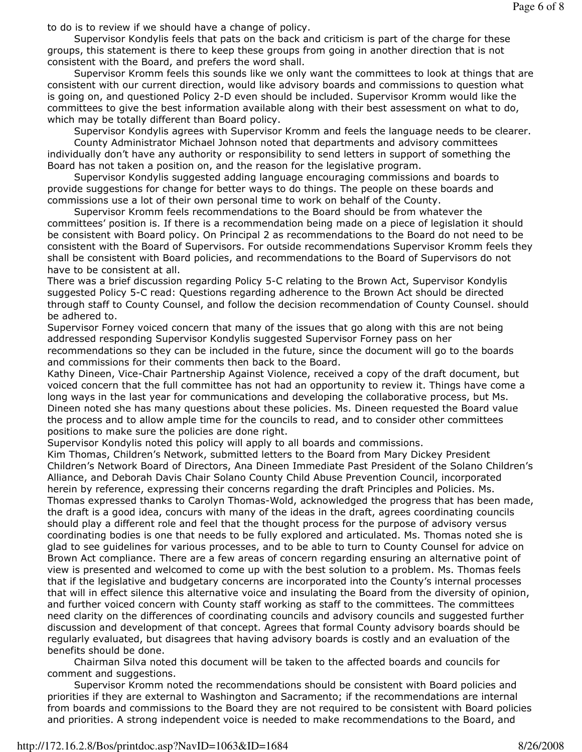to do is to review if we should have a change of policy.

 Supervisor Kondylis feels that pats on the back and criticism is part of the charge for these groups, this statement is there to keep these groups from going in another direction that is not consistent with the Board, and prefers the word shall.

 Supervisor Kromm feels this sounds like we only want the committees to look at things that are consistent with our current direction, would like advisory boards and commissions to question what is going on, and questioned Policy 2-D even should be included. Supervisor Kromm would like the committees to give the best information available along with their best assessment on what to do, which may be totally different than Board policy.

Supervisor Kondylis agrees with Supervisor Kromm and feels the language needs to be clearer.

 County Administrator Michael Johnson noted that departments and advisory committees individually don't have any authority or responsibility to send letters in support of something the Board has not taken a position on, and the reason for the legislative program.

 Supervisor Kondylis suggested adding language encouraging commissions and boards to provide suggestions for change for better ways to do things. The people on these boards and commissions use a lot of their own personal time to work on behalf of the County.

 Supervisor Kromm feels recommendations to the Board should be from whatever the committees' position is. If there is a recommendation being made on a piece of legislation it should be consistent with Board policy. On Principal 2 as recommendations to the Board do not need to be consistent with the Board of Supervisors. For outside recommendations Supervisor Kromm feels they shall be consistent with Board policies, and recommendations to the Board of Supervisors do not have to be consistent at all.

There was a brief discussion regarding Policy 5-C relating to the Brown Act, Supervisor Kondylis suggested Policy 5-C read: Questions regarding adherence to the Brown Act should be directed through staff to County Counsel, and follow the decision recommendation of County Counsel. should be adhered to.

Supervisor Forney voiced concern that many of the issues that go along with this are not being addressed responding Supervisor Kondylis suggested Supervisor Forney pass on her recommendations so they can be included in the future, since the document will go to the boards and commissions for their comments then back to the Board.

Kathy Dineen, Vice-Chair Partnership Against Violence, received a copy of the draft document, but voiced concern that the full committee has not had an opportunity to review it. Things have come a long ways in the last year for communications and developing the collaborative process, but Ms. Dineen noted she has many questions about these policies. Ms. Dineen requested the Board value the process and to allow ample time for the councils to read, and to consider other committees positions to make sure the policies are done right.

Supervisor Kondylis noted this policy will apply to all boards and commissions.

Kim Thomas, Children's Network, submitted letters to the Board from Mary Dickey President Children's Network Board of Directors, Ana Dineen Immediate Past President of the Solano Children's Alliance, and Deborah Davis Chair Solano County Child Abuse Prevention Council, incorporated herein by reference, expressing their concerns regarding the draft Principles and Policies. Ms. Thomas expressed thanks to Carolyn Thomas-Wold, acknowledged the progress that has been made, the draft is a good idea, concurs with many of the ideas in the draft, agrees coordinating councils should play a different role and feel that the thought process for the purpose of advisory versus coordinating bodies is one that needs to be fully explored and articulated. Ms. Thomas noted she is glad to see guidelines for various processes, and to be able to turn to County Counsel for advice on Brown Act compliance. There are a few areas of concern regarding ensuring an alternative point of view is presented and welcomed to come up with the best solution to a problem. Ms. Thomas feels that if the legislative and budgetary concerns are incorporated into the County's internal processes that will in effect silence this alternative voice and insulating the Board from the diversity of opinion, and further voiced concern with County staff working as staff to the committees. The committees need clarity on the differences of coordinating councils and advisory councils and suggested further discussion and development of that concept. Agrees that formal County advisory boards should be regularly evaluated, but disagrees that having advisory boards is costly and an evaluation of the benefits should be done.

 Chairman Silva noted this document will be taken to the affected boards and councils for comment and suggestions.

 Supervisor Kromm noted the recommendations should be consistent with Board policies and priorities if they are external to Washington and Sacramento; if the recommendations are internal from boards and commissions to the Board they are not required to be consistent with Board policies and priorities. A strong independent voice is needed to make recommendations to the Board, and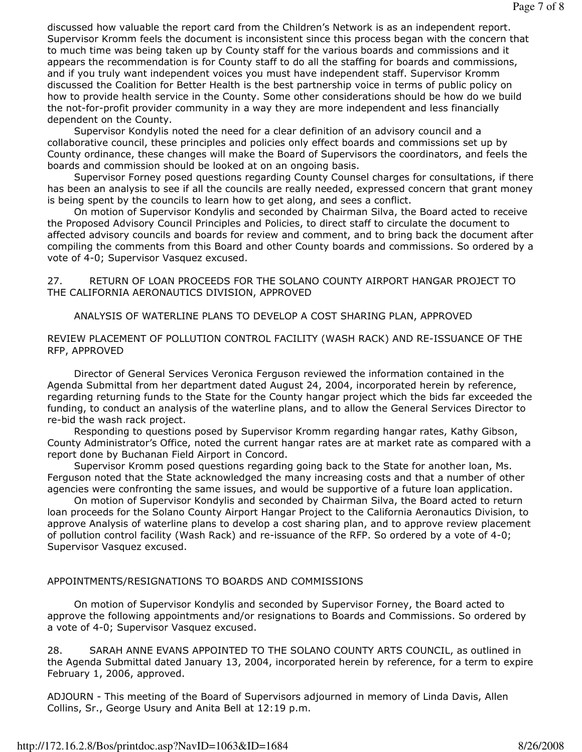discussed how valuable the report card from the Children's Network is as an independent report. Supervisor Kromm feels the document is inconsistent since this process began with the concern that to much time was being taken up by County staff for the various boards and commissions and it appears the recommendation is for County staff to do all the staffing for boards and commissions, and if you truly want independent voices you must have independent staff. Supervisor Kromm discussed the Coalition for Better Health is the best partnership voice in terms of public policy on how to provide health service in the County. Some other considerations should be how do we build the not-for-profit provider community in a way they are more independent and less financially dependent on the County.

 Supervisor Kondylis noted the need for a clear definition of an advisory council and a collaborative council, these principles and policies only effect boards and commissions set up by County ordinance, these changes will make the Board of Supervisors the coordinators, and feels the boards and commission should be looked at on an ongoing basis.

 Supervisor Forney posed questions regarding County Counsel charges for consultations, if there has been an analysis to see if all the councils are really needed, expressed concern that grant money is being spent by the councils to learn how to get along, and sees a conflict.

 On motion of Supervisor Kondylis and seconded by Chairman Silva, the Board acted to receive the Proposed Advisory Council Principles and Policies, to direct staff to circulate the document to affected advisory councils and boards for review and comment, and to bring back the document after compiling the comments from this Board and other County boards and commissions. So ordered by a vote of 4-0; Supervisor Vasquez excused.

### 27. RETURN OF LOAN PROCEEDS FOR THE SOLANO COUNTY AIRPORT HANGAR PROJECT TO THE CALIFORNIA AERONAUTICS DIVISION, APPROVED

## ANALYSIS OF WATERLINE PLANS TO DEVELOP A COST SHARING PLAN, APPROVED

### REVIEW PLACEMENT OF POLLUTION CONTROL FACILITY (WASH RACK) AND RE-ISSUANCE OF THE RFP, APPROVED

 Director of General Services Veronica Ferguson reviewed the information contained in the Agenda Submittal from her department dated August 24, 2004, incorporated herein by reference, regarding returning funds to the State for the County hangar project which the bids far exceeded the funding, to conduct an analysis of the waterline plans, and to allow the General Services Director to re-bid the wash rack project.

 Responding to questions posed by Supervisor Kromm regarding hangar rates, Kathy Gibson, County Administrator's Office, noted the current hangar rates are at market rate as compared with a report done by Buchanan Field Airport in Concord.

 Supervisor Kromm posed questions regarding going back to the State for another loan, Ms. Ferguson noted that the State acknowledged the many increasing costs and that a number of other agencies were confronting the same issues, and would be supportive of a future loan application.

 On motion of Supervisor Kondylis and seconded by Chairman Silva, the Board acted to return loan proceeds for the Solano County Airport Hangar Project to the California Aeronautics Division, to approve Analysis of waterline plans to develop a cost sharing plan, and to approve review placement of pollution control facility (Wash Rack) and re-issuance of the RFP. So ordered by a vote of 4-0; Supervisor Vasquez excused.

#### APPOINTMENTS/RESIGNATIONS TO BOARDS AND COMMISSIONS

 On motion of Supervisor Kondylis and seconded by Supervisor Forney, the Board acted to approve the following appointments and/or resignations to Boards and Commissions. So ordered by a vote of 4-0; Supervisor Vasquez excused.

28. SARAH ANNE EVANS APPOINTED TO THE SOLANO COUNTY ARTS COUNCIL, as outlined in the Agenda Submittal dated January 13, 2004, incorporated herein by reference, for a term to expire February 1, 2006, approved.

ADJOURN - This meeting of the Board of Supervisors adjourned in memory of Linda Davis, Allen Collins, Sr., George Usury and Anita Bell at 12:19 p.m.